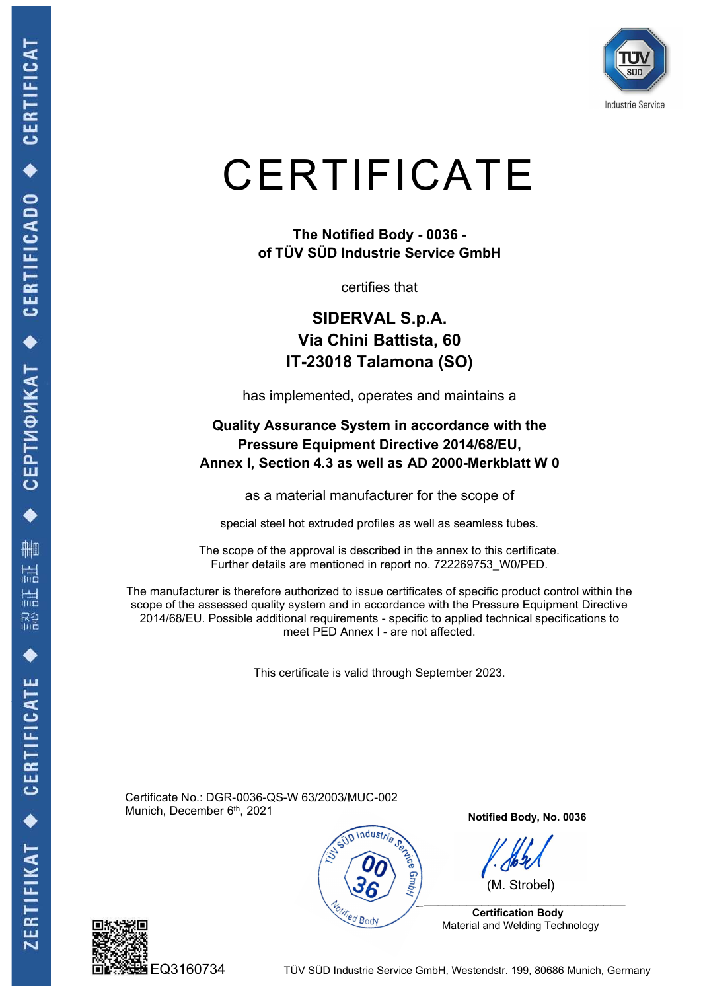

## **CERTIFICATE** THE CATE<br>The Notified Body - 0036 -<br>V SÜD Industrie Service GmbH<br>certifies that

of TÜV SÜD Industrie Service GmbH

certifies that

## SIDERVAL S.p.A. Via Chini Battista, 60 IT-23018 Talamona (SO)

has implemented, operates and maintains a

## Quality Assurance System in accordance with the Pressure Equipment Directive 2014/68/EU, CERTIFICATE<br>
The Notified Body - 0036 -<br>
of TÜV SÜD Industrie Service GmbH<br>
certifies that<br>
SIDERVAL S.p.A.<br>
Via Chini Battista, 60<br>
IT-23018 Talamona (SO)<br>
has implemented, operates and maintains a<br>
Quality Assurance Syst The Notified Body - 0036 -<br>
of TÜV SÜD Industrie Service GmbH<br>
certifies that<br>
SIDERVAL S.p.A.<br>
Via Chini Battista, 60<br>
IT-23018 Talamona (SO)<br>
has implemented, operates and maintains a<br>
uality Assurance System in accordan

as a material manufacturer for the scope of

The scope of the approval is described in the annex to this certificate. Further details are mentioned in report no. 722269753\_W0/PED.

The manufacturer is therefore authorized to issue certificates of specific product control within the scope of the assessed quality system and in accordance with the Pressure Equipment Directive SIDERVAL S.p.A.<br>
Via Chini Battista, 60<br>
IT-23018 Talamona (SO)<br>
has implemented, operates and maintains a<br>
Quality Assurance System in accordance with the<br>
Pressure Equipment Directive 2014/68/EU,<br>
Annex I, Section 4.3 as Via Chini Battlista, 60<br>
IT-23018 Talamona (SO)<br>
plemented, operates and maintains a<br>
surance System in accordance with the<br>
re Equipment Directive 2014/68/EU,<br>
tion 4.3 as well as AD 2000-Merkblatt W 0<br>
naterial manufact The 200 To Tatamonia (OO)<br>
Sa implemented, operates and maintains a<br>
y Assurance System in accordance with the<br>
essure Equipment Directive 2014/68/EU,<br>
Section 4.3 as well as AD 2000-Merkblatt W 0<br>
sa material manufacturer

Certificate No.: DGR-0036-QS-W 63/2003/MUC-002 Munich, December 6<sup>th</sup>, 2021



Notified Body, No. 0036

(M. Strobel)

 \_\_\_\_\_\_\_\_\_\_\_\_\_\_\_\_\_\_\_\_\_\_\_\_\_\_\_\_\_ Certification Body Material and Welding Technology



EQ3160734 TÜV SÜD Industrie Service GmbH, Westendstr. 199, 80686 Munich, Germany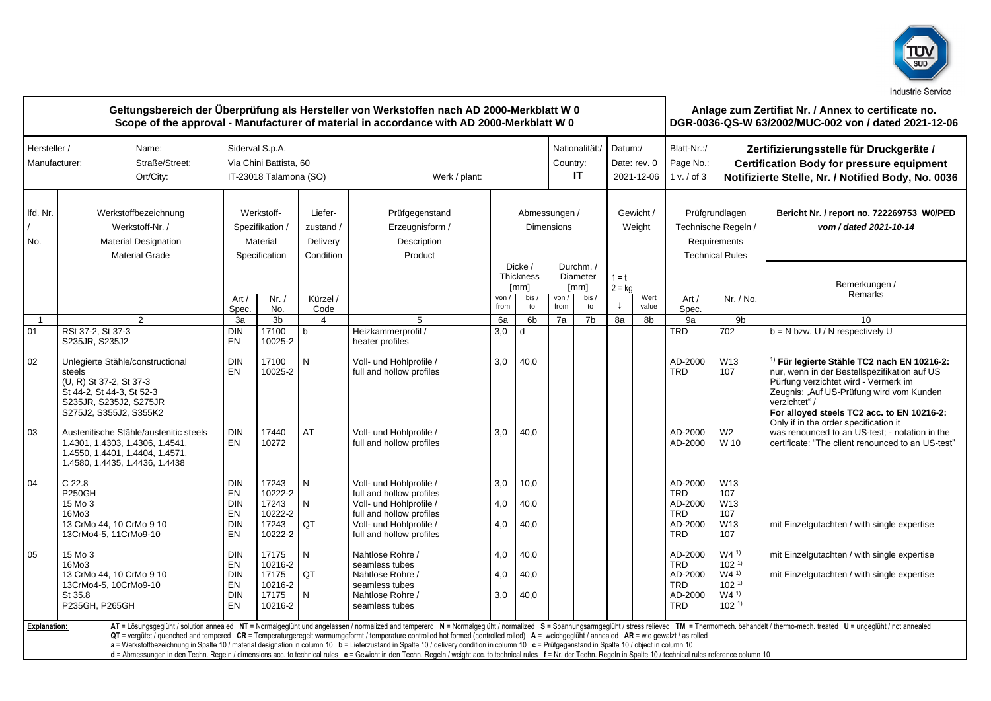

| Geltungsbereich der Überprüfung als Hersteller von Werkstoffen nach AD 2000-Merkblatt W 0<br>Scope of the approval - Manufacturer of material in accordance with AD 2000-Merkblatt W 0 |                                                                                                                                                        |                                                                                      |                                      |                                               |                                                                                                                                                                                                                                                                                                                                                                                                                                                                                                                                                                                                                              |               |                                                          |                                    |                                             | Anlage zum Zertifiat Nr. / Annex to certificate no.<br>DGR-0036-QS-W 63/2002/MUC-002 von / dated 2021-12-06 |                                       |                                                                                 |                                                                                                                                                   |                                                                                                                                                                                                                                                                                                    |
|----------------------------------------------------------------------------------------------------------------------------------------------------------------------------------------|--------------------------------------------------------------------------------------------------------------------------------------------------------|--------------------------------------------------------------------------------------|--------------------------------------|-----------------------------------------------|------------------------------------------------------------------------------------------------------------------------------------------------------------------------------------------------------------------------------------------------------------------------------------------------------------------------------------------------------------------------------------------------------------------------------------------------------------------------------------------------------------------------------------------------------------------------------------------------------------------------------|---------------|----------------------------------------------------------|------------------------------------|---------------------------------------------|-------------------------------------------------------------------------------------------------------------|---------------------------------------|---------------------------------------------------------------------------------|---------------------------------------------------------------------------------------------------------------------------------------------------|----------------------------------------------------------------------------------------------------------------------------------------------------------------------------------------------------------------------------------------------------------------------------------------------------|
| Hersteller /<br>Manufacturer:                                                                                                                                                          | Name:<br>Straße/Street:<br>Ort/City:                                                                                                                   | Siderval S.p.A.<br>Via Chini Battista, 60<br>IT-23018 Talamona (SO)<br>Werk / plant: |                                      |                                               |                                                                                                                                                                                                                                                                                                                                                                                                                                                                                                                                                                                                                              |               |                                                          |                                    | Nationalität:/<br>Country:<br>IT            |                                                                                                             | Datum:/<br>Date: rev. 0<br>2021-12-06 | Blatt-Nr.:/<br>Page No.:<br>1 v. / of 3                                         | Zertifizierungsstelle für Druckgeräte /<br><b>Certification Body for pressure equipment</b><br>Notifizierte Stelle, Nr. / Notified Body, No. 0036 |                                                                                                                                                                                                                                                                                                    |
| Ifd. Nr.<br>No.                                                                                                                                                                        | Werkstoffbezeichnung<br>Werkstoff-Nr. /<br><b>Material Designation</b><br><b>Material Grade</b>                                                        | Werkstoff-<br>Spezifikation /<br>Material<br>Specification                           |                                      | Liefer-<br>zustand /<br>Delivery<br>Condition | Prüfgegenstand<br>Erzeugnisform /<br>Description<br>Product                                                                                                                                                                                                                                                                                                                                                                                                                                                                                                                                                                  |               |                                                          | Abmessungen /<br><b>Dimensions</b> |                                             | Gewicht /<br>Weight                                                                                         |                                       | Prüfgrundlagen<br>Technische Regeln /<br>Requirements<br><b>Technical Rules</b> |                                                                                                                                                   | Bericht Nr. / report no. 722269753_W0/PED<br>vom / dated 2021-10-14                                                                                                                                                                                                                                |
|                                                                                                                                                                                        |                                                                                                                                                        | Art /<br>Spec.                                                                       | Nr. /<br>No.                         | Kürzel /<br>Code                              |                                                                                                                                                                                                                                                                                                                                                                                                                                                                                                                                                                                                                              | von /<br>from | Dicke /<br>Thickness<br>$\lceil mm \rceil$<br>bis,<br>to | von / l<br>from                    | Durchm./<br>Diameter<br>[mm]<br>bis /<br>to | $1 = t$<br>$2 = kq$                                                                                         | Wert<br>value                         | Art /<br>Spec.                                                                  | Nr. / No.                                                                                                                                         | Bemerkungen /<br>Remarks                                                                                                                                                                                                                                                                           |
| -1                                                                                                                                                                                     | $\overline{2}$                                                                                                                                         | 3a                                                                                   | 3 <sub>b</sub>                       | $\overline{4}$                                | 5                                                                                                                                                                                                                                                                                                                                                                                                                                                                                                                                                                                                                            | 6a            | 6 <sub>b</sub>                                           | 7a                                 | 7 <sub>b</sub>                              | 8a                                                                                                          | 8b                                    | 9a                                                                              | 9 <sub>b</sub>                                                                                                                                    | 10 <sup>1</sup>                                                                                                                                                                                                                                                                                    |
| 01                                                                                                                                                                                     | RSt 37-2, St 37-3<br>S235JR, S235J2                                                                                                                    | <b>DIN</b><br>EN                                                                     | 17100<br>10025-2                     | $\mathsf{b}$                                  | Heizkammerprofil /<br>heater profiles                                                                                                                                                                                                                                                                                                                                                                                                                                                                                                                                                                                        | 3,0           | d                                                        |                                    |                                             |                                                                                                             |                                       | <b>TRD</b>                                                                      | 702                                                                                                                                               | $b = N$ bzw. U / N respectively U                                                                                                                                                                                                                                                                  |
| 02                                                                                                                                                                                     | Unlegierte Stähle/constructional<br>steels<br>(U, R) St 37-2, St 37-3<br>St 44-2, St 44-3, St 52-3<br>S235JR, S235J2, S275JR<br>S275J2, S355J2, S355K2 | <b>DIN</b><br>EN                                                                     | 17100<br>10025-2                     | N                                             | Voll- und Hohlprofile /<br>full and hollow profiles                                                                                                                                                                                                                                                                                                                                                                                                                                                                                                                                                                          | 3,0           | 40,0                                                     |                                    |                                             |                                                                                                             |                                       | AD-2000<br><b>TRD</b>                                                           | W13<br>107                                                                                                                                        | <sup>1)</sup> Für legierte Stähle TC2 nach EN 10216-2:<br>nur, wenn in der Bestellspezifikation auf US<br>Pürfung verzichtet wird - Vermerk im<br>Zeugnis: "Auf US-Prüfung wird vom Kunden<br>verzichtet" /<br>For alloyed steels TC2 acc. to EN 10216-2:<br>Only if in the order specification it |
| 03                                                                                                                                                                                     | Austenitische Stähle/austenitic steels<br>1.4301, 1.4303, 1.4306, 1.4541,<br>1.4550, 1.4401, 1.4404, 1.4571,<br>1.4580, 1.4435, 1.4436, 1.4438         | <b>DIN</b><br><b>EN</b>                                                              | 17440<br>10272                       | AT                                            | Voll- und Hohlprofile /<br>full and hollow profiles                                                                                                                                                                                                                                                                                                                                                                                                                                                                                                                                                                          | 3,0           | 40,0                                                     |                                    |                                             |                                                                                                             |                                       | AD-2000<br>AD-2000                                                              | W <sub>2</sub><br>W 10                                                                                                                            | was renounced to an US-test; - notation in the<br>certificate: "The client renounced to an US-test"                                                                                                                                                                                                |
| 04                                                                                                                                                                                     | C <sub>22.8</sub><br><b>P250GH</b><br>15 Mo 3                                                                                                          | <b>DIN</b><br>EN<br><b>DIN</b>                                                       | 17243<br>10222-2<br>17243            | N<br>N                                        | Voll- und Hohlprofile /<br>full and hollow profiles<br>Voll- und Hohlprofile /                                                                                                                                                                                                                                                                                                                                                                                                                                                                                                                                               | 3,0<br>4.0    | 10,0<br>40.0                                             |                                    |                                             |                                                                                                             |                                       | AD-2000<br><b>TRD</b><br>AD-2000                                                | W13<br>107<br>W13                                                                                                                                 |                                                                                                                                                                                                                                                                                                    |
|                                                                                                                                                                                        | 16Mo3<br>13 CrMo 44, 10 CrMo 9 10<br>13CrMo4-5, 11CrMo9-10                                                                                             | EN<br><b>DIN</b><br>EN                                                               | 10222-2<br>17243<br>10222-2          | QT                                            | full and hollow profiles<br>Voll- und Hohlprofile /<br>full and hollow profiles                                                                                                                                                                                                                                                                                                                                                                                                                                                                                                                                              | 4,0           | 40,0                                                     |                                    |                                             |                                                                                                             |                                       | <b>TRD</b><br>AD-2000<br><b>TRD</b>                                             | 107<br>W13<br>107                                                                                                                                 | mit Einzelgutachten / with single expertise                                                                                                                                                                                                                                                        |
| 05                                                                                                                                                                                     | 15 Mo 3<br>16Mo3                                                                                                                                       | <b>DIN</b><br>EN                                                                     | 17175<br>10216-2                     | N                                             | Nahtlose Rohre /<br>seamless tubes                                                                                                                                                                                                                                                                                                                                                                                                                                                                                                                                                                                           | 4,0           | 40,0                                                     |                                    |                                             |                                                                                                             |                                       | AD-2000<br><b>TRD</b>                                                           | $W4^{1}$<br>$102^{11}$                                                                                                                            | mit Einzelgutachten / with single expertise                                                                                                                                                                                                                                                        |
|                                                                                                                                                                                        | 13 CrMo 44, 10 CrMo 9 10<br>13CrMo4-5, 10CrMo9-10<br>St 35.8<br>P235GH, P265GH                                                                         | <b>DIN</b><br>EN<br><b>DIN</b><br>EN                                                 | 17175<br>10216-2<br>17175<br>10216-2 | QT<br>N                                       | Nahtlose Rohre /<br>seamless tubes<br>Nahtlose Rohre /<br>seamless tubes                                                                                                                                                                                                                                                                                                                                                                                                                                                                                                                                                     | 4,0<br>3,0    | 40,0<br>40,0                                             |                                    |                                             |                                                                                                             |                                       | AD-2000<br><b>TRD</b><br>AD-2000<br><b>TRD</b>                                  | $W4^{1}$<br>$102^{11}$<br>$W4^{1}$<br>102 <sup>1</sup>                                                                                            | mit Einzelgutachten / with single expertise                                                                                                                                                                                                                                                        |
| Explanation:                                                                                                                                                                           |                                                                                                                                                        |                                                                                      |                                      |                                               | QT = vergütet / quenched and tempered CR = Temperaturgeregelt warmumgeformt / temperature controlled hot formed (controlled rolled) A = weichgeglüht / annealed AR = wie gewalzt / as rolled<br>a = Werkstoffbezeichnung in Spalte 10 / material designation in column 10 b = Lieferzustand in Spalte 10 / delivery condition in column 10 c = Prüfgegenstand in Spalte 10 / object in column 10<br>d = Abmessungen in den Techn. Regeln / dimensions acc. to technical rules e = Gewicht in den Techn. Regeln / weight acc. to technical rules f = Nr. der Techn. Regeln in Spalte 10 / technical rules reference column 10 |               |                                                          |                                    |                                             |                                                                                                             |                                       |                                                                                 |                                                                                                                                                   | AT = Lösungsgeglüht / solution annealed NT = Normalgeglüht und angelassen / normalized and tempererd N = Normalgeglüht / normalized S = Spannungsarmgeglüht / stress relieved TM = Thermomech. behandelt / thermo-mech. treate                                                                     |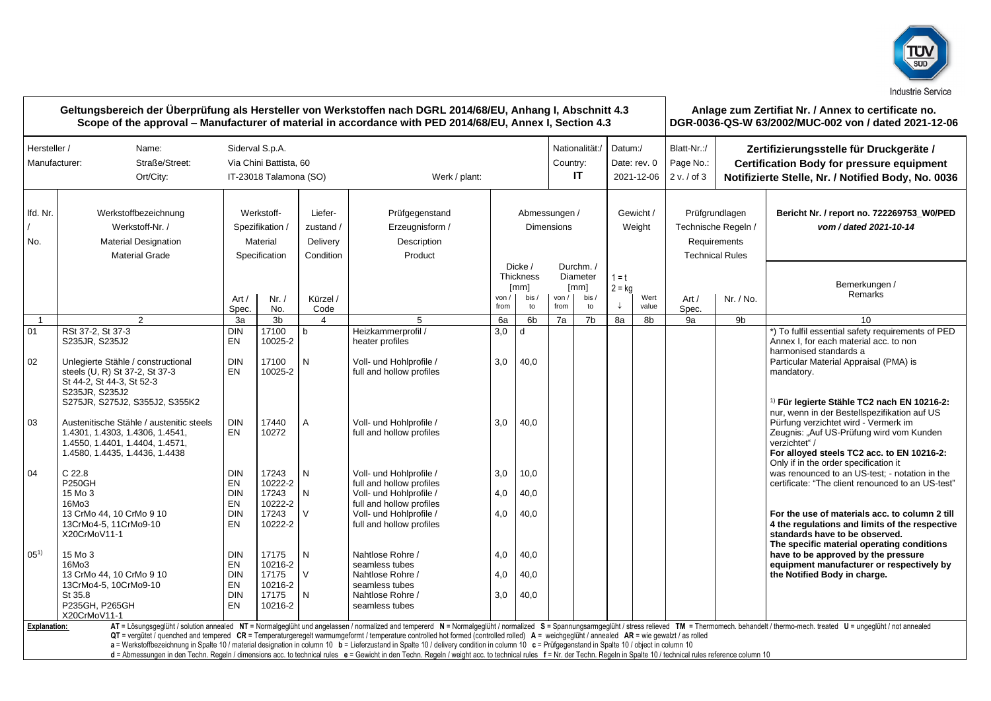

|                               |                                                                                                                                                                                                      |                                                                                      | Geltungsbereich der Überprüfung als Hersteller von Werkstoffen nach DGRL 2014/68/EU, Anhang I, Abschnitt 4.3<br>Scope of the approval – Manufacturer of material in accordance with PED 2014/68/EU, Annex I, Section 4.3 |                                               |                                                                                                                                                                                                                                                                                                                                                                                                                                                                                                                                                                                                                              |                                    |                                           |                                  | Anlage zum Zertifiat Nr. / Annex to certificate no.<br>DGR-0036-QS-W 63/2002/MUC-002 von / dated 2021-12-06 |                                       |               |                                                                                 |                                                                                                                                                   |                                                                                                                                                                                                                                                           |  |
|-------------------------------|------------------------------------------------------------------------------------------------------------------------------------------------------------------------------------------------------|--------------------------------------------------------------------------------------|--------------------------------------------------------------------------------------------------------------------------------------------------------------------------------------------------------------------------|-----------------------------------------------|------------------------------------------------------------------------------------------------------------------------------------------------------------------------------------------------------------------------------------------------------------------------------------------------------------------------------------------------------------------------------------------------------------------------------------------------------------------------------------------------------------------------------------------------------------------------------------------------------------------------------|------------------------------------|-------------------------------------------|----------------------------------|-------------------------------------------------------------------------------------------------------------|---------------------------------------|---------------|---------------------------------------------------------------------------------|---------------------------------------------------------------------------------------------------------------------------------------------------|-----------------------------------------------------------------------------------------------------------------------------------------------------------------------------------------------------------------------------------------------------------|--|
| Hersteller /<br>Manufacturer: | Name:<br>Straße/Street:<br>Ort/City:                                                                                                                                                                 | Siderval S.p.A.<br>Via Chini Battista, 60<br>IT-23018 Talamona (SO)<br>Werk / plant: |                                                                                                                                                                                                                          |                                               |                                                                                                                                                                                                                                                                                                                                                                                                                                                                                                                                                                                                                              |                                    |                                           | Nationalität:/<br>Country:<br>IT |                                                                                                             | Datum:/<br>Date: rev. 0<br>2021-12-06 |               | Blatt-Nr.:/<br>Page No.:<br>2 v. / of 3                                         | Zertifizierungsstelle für Druckgeräte /<br><b>Certification Body for pressure equipment</b><br>Notifizierte Stelle, Nr. / Notified Body, No. 0036 |                                                                                                                                                                                                                                                           |  |
| Ifd. Nr.<br>No.               | Werkstoffbezeichnung<br>Werkstoff-Nr. /<br><b>Material Designation</b><br><b>Material Grade</b>                                                                                                      | Werkstoff-<br>Spezifikation<br>Material<br>Specification                             |                                                                                                                                                                                                                          | Liefer-<br>zustand /<br>Delivery<br>Condition | Prüfgegenstand<br>Erzeugnisform /<br>Description<br>Product                                                                                                                                                                                                                                                                                                                                                                                                                                                                                                                                                                  | Abmessungen /<br><b>Dimensions</b> |                                           |                                  |                                                                                                             | Gewicht /<br>Weight                   |               | Prüfgrundlagen<br>Technische Regeln /<br>Requirements<br><b>Technical Rules</b> |                                                                                                                                                   | Bericht Nr. / report no. 722269753 W0/PED<br>vom / dated 2021-10-14                                                                                                                                                                                       |  |
|                               |                                                                                                                                                                                                      | Art /<br>Spec.                                                                       | Nr. /<br>No.                                                                                                                                                                                                             | Kürzel /<br>Code                              |                                                                                                                                                                                                                                                                                                                                                                                                                                                                                                                                                                                                                              | von /<br>from                      | Dicke/<br>Thickness<br>[mm]<br>bis,<br>to | von /<br>from                    | Durchm. /<br>Diameter<br>$\lceil mm \rceil$<br>bis /<br>to                                                  | $1 = t$<br>$2 = kg$                   | Wert<br>value | Art /<br>Spec.                                                                  | Nr. / No.                                                                                                                                         | Bemerkungen /<br>Remarks                                                                                                                                                                                                                                  |  |
| $\overline{1}$                | $\overline{2}$                                                                                                                                                                                       | 3a                                                                                   | 3 <sub>b</sub>                                                                                                                                                                                                           | $\overline{4}$                                | 5                                                                                                                                                                                                                                                                                                                                                                                                                                                                                                                                                                                                                            | 6a                                 | 6 <sub>b</sub>                            | 7a                               | 7 <sub>b</sub>                                                                                              | 8a                                    | 8b            | 9a                                                                              | 9b                                                                                                                                                | 10                                                                                                                                                                                                                                                        |  |
| 01<br>02                      | RSt 37-2, St 37-3<br>S235JR, S235J2<br>Unlegierte Stähle / constructional<br>steels (U, R) St 37-2, St 37-3<br>St 44-2, St 44-3, St 52-3                                                             | <b>DIN</b><br><b>EN</b><br><b>DIN</b><br><b>EN</b>                                   | 17100<br>10025-2<br>17100<br>10025-2                                                                                                                                                                                     | b<br>N                                        | Heizkammerprofil /<br>heater profiles<br>Voll- und Hohlprofile /<br>full and hollow profiles                                                                                                                                                                                                                                                                                                                                                                                                                                                                                                                                 | 3,0<br>3,0                         | d<br>40,0                                 |                                  |                                                                                                             |                                       |               |                                                                                 |                                                                                                                                                   | *) To fulfil essential safety requirements of PED<br>Annex I, for each material acc, to non<br>harmonised standards a<br>Particular Material Appraisal (PMA) is<br>mandatory.                                                                             |  |
| 03                            | S235JR. S235J2<br>S275JR, S275J2, S355J2, S355K2<br>Austenitische Stähle / austenitic steels<br>1.4301, 1.4303, 1.4306, 1.4541,<br>1.4550, 1.4401, 1.4404, 1.4571,<br>1.4580, 1.4435, 1.4436, 1.4438 | <b>DIN</b><br>EN                                                                     | 17440<br>10272                                                                                                                                                                                                           | A                                             | Voll- und Hohlprofile /<br>full and hollow profiles                                                                                                                                                                                                                                                                                                                                                                                                                                                                                                                                                                          | 3,0                                | 40,0                                      |                                  |                                                                                                             |                                       |               |                                                                                 |                                                                                                                                                   | <sup>1)</sup> Für legierte Stähle TC2 nach EN 10216-2:<br>nur, wenn in der Bestellspezifikation auf US<br>Pürfung verzichtet wird - Vermerk im<br>Zeugnis: "Auf US-Prüfung wird vom Kunden<br>verzichtet" /<br>For alloyed steels TC2 acc. to EN 10216-2: |  |
| 04                            | C <sub>22.8</sub><br><b>P250GH</b><br>15 Mo 3<br>16Mo3                                                                                                                                               | <b>DIN</b><br>EN<br><b>DIN</b><br>EN                                                 | 17243<br>10222-2<br>17243<br>10222-2                                                                                                                                                                                     | N<br>N                                        | Voll- und Hohlprofile /<br>full and hollow profiles<br>Voll- und Hohlprofile /<br>full and hollow profiles                                                                                                                                                                                                                                                                                                                                                                                                                                                                                                                   | 3.0<br>4,0                         | 10,0<br>40,0                              |                                  |                                                                                                             |                                       |               |                                                                                 |                                                                                                                                                   | Only if in the order specification it<br>was renounced to an US-test: - notation in the<br>certificate: "The client renounced to an US-test"                                                                                                              |  |
|                               | 13 CrMo 44, 10 CrMo 9 10<br>13CrMo4-5, 11CrMo9-10<br>X20CrMoV11-1                                                                                                                                    | <b>DIN</b><br>EN                                                                     | 17243<br>10222-2                                                                                                                                                                                                         | V                                             | Voll- und Hohlprofile /<br>full and hollow profiles                                                                                                                                                                                                                                                                                                                                                                                                                                                                                                                                                                          | 4,0                                | 40,0                                      |                                  |                                                                                                             |                                       |               |                                                                                 |                                                                                                                                                   | For the use of materials acc. to column 2 till<br>4 the regulations and limits of the respective<br>standards have to be observed.<br>The specific material operating conditions                                                                          |  |
| $05^{1}$                      | 15 Mo 3<br>16Mo3<br>13 CrMo 44, 10 CrMo 9 10<br>13CrMo4-5, 10CrMo9-10                                                                                                                                | <b>DIN</b><br>EN<br><b>DIN</b><br>EN                                                 | 17175<br>10216-2<br>17175<br>10216-2                                                                                                                                                                                     | N<br>V                                        | Nahtlose Rohre /<br>seamless tubes<br>Nahtlose Rohre /<br>seamless tubes                                                                                                                                                                                                                                                                                                                                                                                                                                                                                                                                                     | 4,0<br>4,0                         | 40,0<br>40,0                              |                                  |                                                                                                             |                                       |               |                                                                                 |                                                                                                                                                   | have to be approved by the pressure<br>equipment manufacturer or respectively by<br>the Notified Body in charge.                                                                                                                                          |  |
|                               | St 35.8<br>P235GH, P265GH<br>X20CrMoV11-1                                                                                                                                                            | <b>DIN</b><br><b>EN</b>                                                              | 17175<br>10216-2                                                                                                                                                                                                         | Ν                                             | Nahtlose Rohre /<br>seamless tubes                                                                                                                                                                                                                                                                                                                                                                                                                                                                                                                                                                                           | 3,0                                | 40,0                                      |                                  |                                                                                                             |                                       |               |                                                                                 |                                                                                                                                                   |                                                                                                                                                                                                                                                           |  |
| <b>Explanation:</b>           |                                                                                                                                                                                                      |                                                                                      |                                                                                                                                                                                                                          |                                               | QT = vergütet / quenched and tempered CR = Temperaturgeregelt warmumgeformt / temperature controlled hot formed (controlled rolled) A = weichgeglüht / annealed AR = wie gewalzt / as rolled<br>a = Werkstoffbezeichnung in Spalte 10 / material designation in column 10 b = Lieferzustand in Spalte 10 / delivery condition in column 10 c = Prüfgegenstand in Spalte 10 / object in column 10<br>d = Abmessungen in den Techn. Regeln / dimensions acc. to technical rules e = Gewicht in den Techn. Regeln / weight acc. to technical rules f = Nr. der Techn. Regeln in Spalte 10 / technical rules reference column 10 |                                    |                                           |                                  |                                                                                                             |                                       |               |                                                                                 |                                                                                                                                                   | AT = Lösungsgeglüht / solution annealed NT = Normalgeglüht und angelassen / normalized and tempererd N = Normalgeglüht / normalized S = Spannungsarmgeglüht / stress relieved TM = Thermomech. behandelt / thermo-mech. treate                            |  |